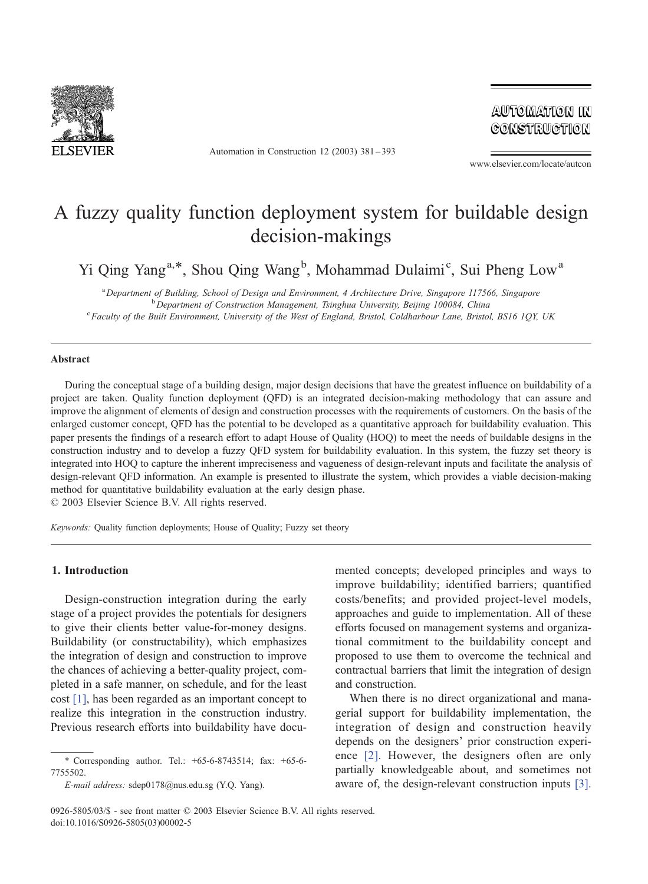

Automation in Construction 12 (2003) 381 – 393

**AUTOMATION IN** CONSTRUCTION

www.elsevier.com/locate/autcon

## A fuzzy quality function deployment system for buildable design decision-makings

Yi Qing Yang<sup>a,\*</sup>, Shou Qing Wang<sup>b</sup>, Mohammad Dulaimi<sup>c</sup>, Sui Pheng Low<sup>a</sup>

<sup>a</sup> Department of Building, School of Design and Environment, 4 Architecture Drive, Singapore 117566, Singapore <sup>b</sup> Department of Construction Management, Tsinghua University, Beijing 100084, China <sup>c</sup> Faculty of the Built Environment, University of the West of England, Bristol, Coldharbour Lane, Bristol, BS16 1QY, UK

#### Abstract

During the conceptual stage of a building design, major design decisions that have the greatest influence on buildability of a project are taken. Quality function deployment (QFD) is an integrated decision-making methodology that can assure and improve the alignment of elements of design and construction processes with the requirements of customers. On the basis of the enlarged customer concept, QFD has the potential to be developed as a quantitative approach for buildability evaluation. This paper presents the findings of a research effort to adapt House of Quality (HOQ) to meet the needs of buildable designs in the construction industry and to develop a fuzzy QFD system for buildability evaluation. In this system, the fuzzy set theory is integrated into HOQ to capture the inherent impreciseness and vagueness of design-relevant inputs and facilitate the analysis of design-relevant QFD information. An example is presented to illustrate the system, which provides a viable decision-making method for quantitative buildability evaluation at the early design phase.  $\odot$  2003 Elsevier Science B.V. All rights reserved.

Keywords: Quality function deployments; House of Quality; Fuzzy set theory

## 1. Introduction

Design-construction integration during the early stage of a project provides the potentials for designers to give their clients better value-for-money designs. Buildability (or constructability), which emphasizes the integration of design and construction to improve the chances of achieving a better-quality project, completed in a safe manner, on schedule, and for the least cost [\[1\],](#page--1-0) has been regarded as an important concept to realize this integration in the construction industry. Previous research efforts into buildability have documented concepts; developed principles and ways to improve buildability; identified barriers; quantified costs/benefits; and provided project-level models, approaches and guide to implementation. All of these efforts focused on management systems and organizational commitment to the buildability concept and proposed to use them to overcome the technical and contractual barriers that limit the integration of design and construction.

When there is no direct organizational and managerial support for buildability implementation, the integration of design and construction heavily depends on the designers' prior construction experience [\[2\].](#page--1-0) However, the designers often are only partially knowledgeable about, and sometimes not aware of, the design-relevant construction inputs [\[3\].](#page--1-0)

<sup>\*</sup> Corresponding author. Tel.: +65-6-8743514; fax: +65-6- 7755502.

E-mail address: sdep0178@nus.edu.sg (Y.Q. Yang).

<sup>0926-5805/03/\$ -</sup> see front matter © 2003 Elsevier Science B.V. All rights reserved. doi:10.1016/S0926-5805(03)00002-5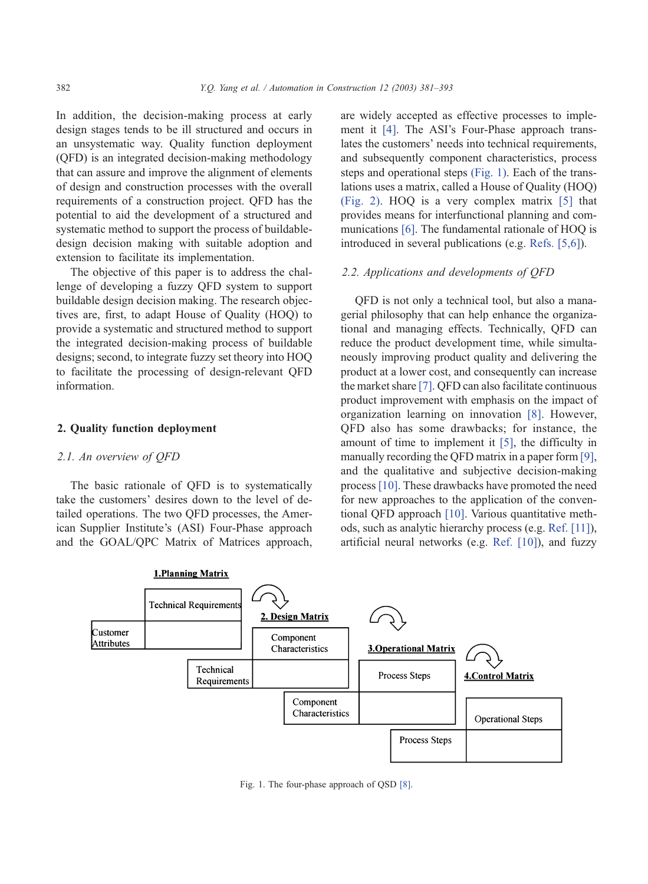In addition, the decision-making process at early design stages tends to be ill structured and occurs in an unsystematic way. Quality function deployment (QFD) is an integrated decision-making methodology that can assure and improve the alignment of elements of design and construction processes with the overall requirements of a construction project. QFD has the potential to aid the development of a structured and systematic method to support the process of buildabledesign decision making with suitable adoption and extension to facilitate its implementation.

The objective of this paper is to address the challenge of developing a fuzzy QFD system to support buildable design decision making. The research objectives are, first, to adapt House of Quality (HOQ) to provide a systematic and structured method to support the integrated decision-making process of buildable designs; second, to integrate fuzzy set theory into HOQ to facilitate the processing of design-relevant QFD information.

#### 2. Quality function deployment

#### 2.1. An overview of QFD

The basic rationale of QFD is to systematically take the customers' desires down to the level of detailed operations. The two QFD processes, the American Supplier Institute's (ASI) Four-Phase approach and the GOAL/QPC Matrix of Matrices approach, are widely accepted as effective processes to implement it [\[4\].](#page--1-0) The ASI's Four-Phase approach translates the customers' needs into technical requirements, and subsequently component characteristics, process steps and operational steps (Fig. 1). Each of the translations uses a matrix, called a House of Quality (HOQ) [\(Fig. 2\).](#page--1-0) HOQ is a very complex matrix [\[5\]](#page--1-0) that provides means for interfunctional planning and communications [\[6\].](#page--1-0) The fundamental rationale of HOQ is introduced in several publications (e.g. [Refs. \[5,6\]\)](#page--1-0).

## 2.2. Applications and developments of QFD

QFD is not only a technical tool, but also a managerial philosophy that can help enhance the organizational and managing effects. Technically, QFD can reduce the product development time, while simultaneously improving product quality and delivering the product at a lower cost, and consequently can increase the market share [\[7\].](#page--1-0) QFD can also facilitate continuous product improvement with emphasis on the impact of organization learning on innovation [\[8\].](#page--1-0) However, QFD also has some drawbacks; for instance, the amount of time to implement it [\[5\],](#page--1-0) the difficulty in manually recording the QFD matrix in a paper form [\[9\],](#page--1-0) and the qualitative and subjective decision-making process[\[10\].](#page--1-0) These drawbacks have promoted the need for new approaches to the application of the conventional QFD approach [\[10\].](#page--1-0) Various quantitative methods, such as analytic hierarchy process (e.g. [Ref. \[11\]\)](#page--1-0), artificial neural networks (e.g. [Ref. \[10\]\)](#page--1-0), and fuzzy



Fig. 1. The four-phase approach of QSD [\[8\].](#page--1-0)